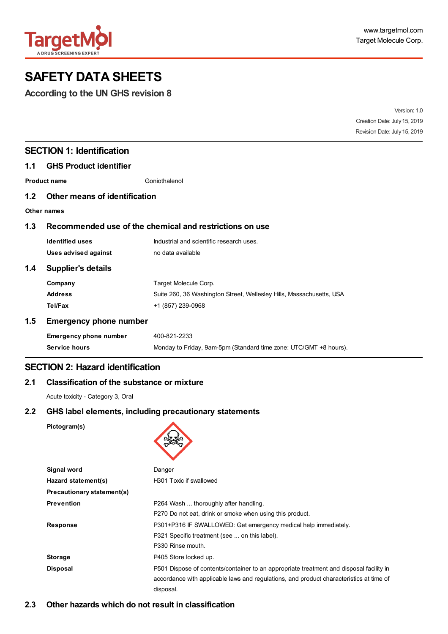

# **SAFETY DATA SHEETS**

**According to the UN GHS revision 8**

|     |                                                         | Version: 1.0                                                         |                              |  |
|-----|---------------------------------------------------------|----------------------------------------------------------------------|------------------------------|--|
|     |                                                         |                                                                      | Creation Date: July 15, 2019 |  |
|     |                                                         |                                                                      | Revision Date: July 15, 2019 |  |
|     | <b>SECTION 1: Identification</b>                        |                                                                      |                              |  |
| 1.1 | <b>GHS Product identifier</b>                           |                                                                      |                              |  |
|     | <b>Product name</b>                                     | Goniothalenol                                                        |                              |  |
| 1.2 | <b>Other means of identification</b>                    |                                                                      |                              |  |
|     | Other names                                             |                                                                      |                              |  |
| 1.3 | Recommended use of the chemical and restrictions on use |                                                                      |                              |  |
|     | <b>Identified uses</b>                                  | Industrial and scientific research uses.                             |                              |  |
|     | <b>Uses advised against</b>                             | no data available                                                    |                              |  |
| 1.4 | <b>Supplier's details</b>                               |                                                                      |                              |  |
|     | Company                                                 | Target Molecule Corp.                                                |                              |  |
|     | <b>Address</b>                                          | Suite 260, 36 Washington Street, Wellesley Hills, Massachusetts, USA |                              |  |
|     | Tel/Fax                                                 | +1 (857) 239-0968                                                    |                              |  |
| 1.5 | <b>Emergency phone number</b>                           |                                                                      |                              |  |
|     | <b>Emergency phone number</b>                           | 400-821-2233                                                         |                              |  |
|     | Service hours                                           | Monday to Friday, 9am-5pm (Standard time zone: UTC/GMT +8 hours).    |                              |  |
|     | <b>SECTION 2: Hazard identification</b>                 |                                                                      |                              |  |
| 2.1 | <b>Classification of the substance or mixture</b>       |                                                                      |                              |  |
|     | Acute toxicity - Category 3, Oral                       |                                                                      |                              |  |
| 2.2 | GHS label elements, including precautionary statements  |                                                                      |                              |  |
|     | Pictogram(s)                                            |                                                                      |                              |  |



| Signal word                | Danger                                                                                  |
|----------------------------|-----------------------------------------------------------------------------------------|
| Hazard statement(s)        | H <sub>301</sub> Toxic if swallowed                                                     |
| Precautionary statement(s) |                                                                                         |
| <b>Prevention</b>          | P264 Wash  thoroughly after handling.                                                   |
|                            | P270 Do not eat, drink or smoke when using this product.                                |
| <b>Response</b>            | P301+P316 IF SWALLOWED: Get emergency medical help immediately.                         |
|                            | P321 Specific treatment (see  on this label).                                           |
|                            | P330 Rinse mouth.                                                                       |
| <b>Storage</b>             | P405 Store locked up.                                                                   |
| <b>Disposal</b>            | P501 Dispose of contents/container to an appropriate treatment and disposal facility in |
|                            | accordance with applicable laws and regulations, and product characteristics at time of |
|                            | disposal.                                                                               |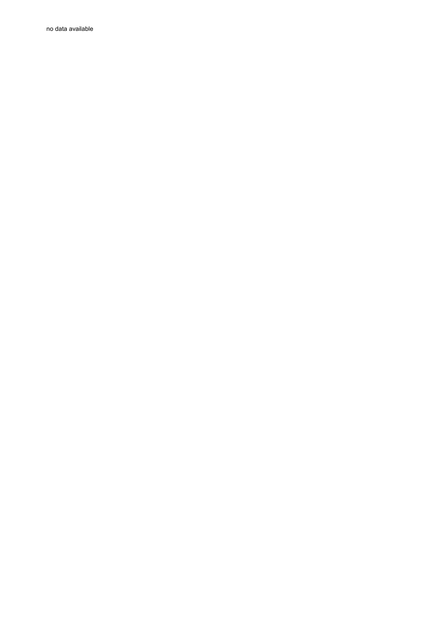no data available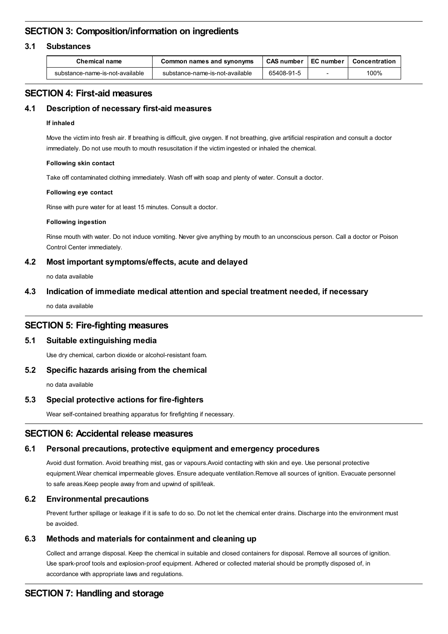# **SECTION 3: Composition/information on ingredients**

#### **3.1 Substances**

| <b>Chemical name</b>            | Common names and synonyms       | <b>CAS number</b> | ∣EC number | Concentration |
|---------------------------------|---------------------------------|-------------------|------------|---------------|
| substance-name-is-not-available | substance-name-is-not-available | 65408-91-5        |            | 100%          |

# **SECTION 4: First-aid measures**

#### **4.1 Description of necessary first-aid measures**

### **If inhaled**

Move the victim into fresh air. If breathing is difficult, give oxygen. If not breathing, give artificial respiration and consult a doctor immediately. Do not use mouth to mouth resuscitation if the victim ingested or inhaled the chemical.

#### **Following skin contact**

Take off contaminated clothing immediately. Wash off with soap and plenty of water. Consult a doctor.

#### **Following eye contact**

Rinse with pure water for at least 15 minutes. Consult a doctor.

#### **Following ingestion**

Rinse mouth with water. Do not induce vomiting. Never give anything by mouth to an unconscious person. Call a doctor or Poison Control Center immediately.

#### **4.2 Most important symptoms/effects, acute and delayed**

no data available

#### **4.3 Indication of immediate medical attention and special treatment needed, if necessary**

no data available

### **SECTION 5: Fire-fighting measures**

#### **5.1 Suitable extinguishing media**

Use dry chemical, carbon dioxide or alcohol-resistant foam.

#### **5.2 Specific hazards arising from the chemical**

no data available

#### **5.3 Special protective actions for fire-fighters**

Wear self-contained breathing apparatus for firefighting if necessary.

### **SECTION 6: Accidental release measures**

#### **6.1 Personal precautions, protective equipment and emergency procedures**

Avoid dust formation. Avoid breathing mist, gas or vapours.Avoid contacting with skin and eye. Use personal protective equipment.Wear chemical impermeable gloves. Ensure adequate ventilation.Remove all sources of ignition. Evacuate personnel to safe areas.Keep people away from and upwind of spill/leak.

#### **6.2 Environmental precautions**

Prevent further spillage or leakage if it is safe to do so. Do not let the chemical enter drains. Discharge into the environment must be avoided.

#### **6.3 Methods and materials for containment and cleaning up**

Collect and arrange disposal. Keep the chemical in suitable and closed containers for disposal. Remove all sources of ignition. Use spark-proof tools and explosion-proof equipment. Adhered or collected material should be promptly disposed of, in accordance with appropriate laws and regulations.

# **SECTION 7: Handling and storage**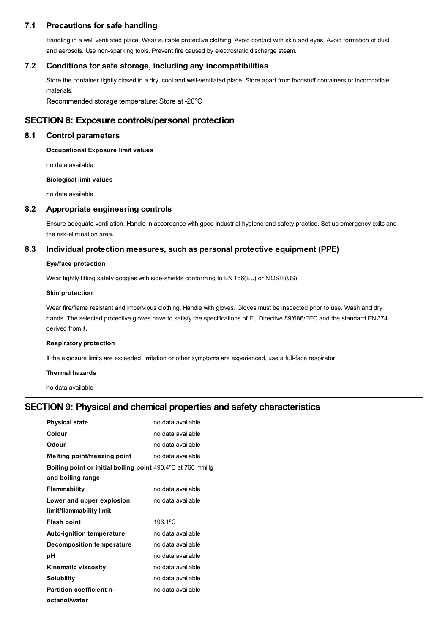#### **7.1 Precautions for safe handling**

Handling in a well ventilated place. Wear suitable protective clothing. Avoid contact with skin and eyes. Avoid formation of dust and aerosols. Use non-sparking tools. Prevent fire caused by electrostatic discharge steam.

#### **7.2 Conditions for safe storage, including any incompatibilities**

Store the container tightly closed in a dry, cool and well-ventilated place. Store apart from foodstuff containers or incompatible materials.

Recommended storage temperature: Store at -20°C

### **SECTION 8: Exposure controls/personal protection**

#### **8.1 Control parameters**

**Occupational Exposure limit values**

no data available

**Biological limit values**

no data available

#### **8.2 Appropriate engineering controls**

Ensure adequate ventilation. Handle in accordance with good industrial hygiene and safety practice. Set up emergency exits and the risk-elimination area.

#### **8.3 Individual protection measures, such as personal protective equipment (PPE)**

#### **Eye/face protection**

Wear tightly fitting safety goggles with side-shields conforming to EN 166(EU) or NIOSH (US).

#### **Skin protection**

Wear fire/flame resistant and impervious clothing. Handle with gloves. Gloves must be inspected prior to use. Wash and dry hands. The selected protective gloves have to satisfy the specifications of EU Directive 89/686/EEC and the standard EN 374 derived from it.

#### **Respiratory protection**

If the exposure limits are exceeded, irritation or other symptoms are experienced, use a full-face respirator.

**Thermal hazards**

no data available

# **SECTION 9: Physical and chemical properties and safety characteristics**

| <b>Physical state</b>                                              | no data available |  |  |
|--------------------------------------------------------------------|-------------------|--|--|
| Colour                                                             | no data available |  |  |
| Odour                                                              | no data available |  |  |
| Melting point/freezing point                                       | no data available |  |  |
| <b>Boiling point or initial boiling point 490.4 °C at 760 mmHg</b> |                   |  |  |
| and boiling range                                                  |                   |  |  |
| <b>Flammability</b>                                                | no data available |  |  |
| Lower and upper explosion                                          | no data available |  |  |
| limit/flammability limit                                           |                   |  |  |
| <b>Flash point</b>                                                 | 196.1°C           |  |  |
| <b>Auto-ignition temperature</b>                                   | no data available |  |  |
| Decomposition temperature                                          | no data available |  |  |
| рH                                                                 | no data available |  |  |
| <b>Kinematic viscosity</b>                                         | no data available |  |  |
| <b>Solubility</b>                                                  | no data available |  |  |
| <b>Partition coefficient n-</b>                                    | no data available |  |  |
| octanol/water                                                      |                   |  |  |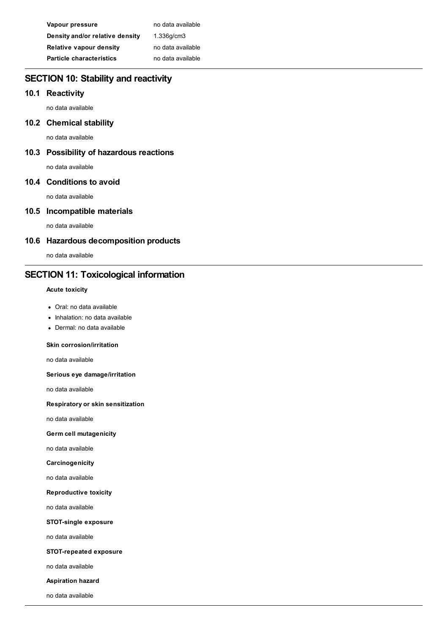**Vapour pressure** no data available **Density and/or relative density** 1.336g/cm3 **Relative vapour density** no data available **Particle characteristics** no data available

# **SECTION 10: Stability and reactivity**

### **10.1 Reactivity**

no data available

### **10.2 Chemical stability**

no data available

### **10.3 Possibility of hazardous reactions**

no data available

### **10.4 Conditions to avoid**

no data available

### **10.5 Incompatible materials**

no data available

### **10.6 Hazardous decomposition products**

no data available

# **SECTION 11: Toxicological information**

#### **Acute toxicity**

- Oral: no data available
- Inhalation: no data available
- Dermal: no data available

### **Skin corrosion/irritation**

no data available

**Serious eye damage/irritation**

no data available

**Respiratory or skin sensitization**

no data available

**Germ cell mutagenicity**

no data available

#### **Carcinogenicity**

no data available

**Reproductive toxicity**

no data available

### **STOT-single exposure**

no data available

**STOT-repeated exposure**

no data available

#### **Aspiration hazard**

no data available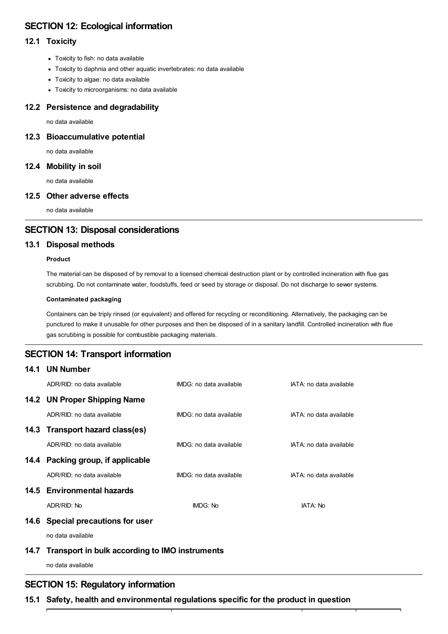# **SECTION 12: Ecological information**

# **12.1 Toxicity**

- Toxicity to fish: no data available
- Toxicity to daphnia and other aquatic invertebrates: no data available
- Toxicity to algae: no data available
- Toxicity to microorganisms: no data available

# **12.2 Persistence and degradability**

no data available

### **12.3 Bioaccumulative potential**

no data available

### **12.4 Mobility in soil**

no data available

# **12.5 Other adverse effects**

no data available

# **SECTION 13: Disposal considerations**

# **13.1 Disposal methods**

#### **Product**

The material can be disposed of by removal to a licensed chemical destruction plant or by controlled incineration with flue gas scrubbing. Do not contaminate water, foodstuffs, feed or seed by storage or disposal. Do not discharge to sewer systems.

#### **Contaminated packaging**

Containers can be triply rinsed (or equivalent) and offered for recycling or reconditioning. Alternatively, the packaging can be punctured to make it unusable for other purposes and then be disposed of in a sanitary landfill. Controlled incineration with flue gas scrubbing is possible for combustible packaging materials.

# **SECTION 14: Transport information**

# **14.1 UN Number**

|      | ADR/RID: no data available                          | IMDG: no data available | IATA: no data available |
|------|-----------------------------------------------------|-------------------------|-------------------------|
|      | 14.2 UN Proper Shipping Name                        |                         |                         |
|      | ADR/RID: no data available                          | IMDG: no data available | IATA: no data available |
|      | 14.3 Transport hazard class(es)                     |                         |                         |
|      | ADR/RID: no data available                          | IMDG: no data available | IATA: no data available |
|      | 14.4 Packing group, if applicable                   |                         |                         |
|      | ADR/RID: no data available                          | IMDG: no data available | IATA: no data available |
|      | 14.5 Environmental hazards                          |                         |                         |
|      | ADR/RID: No                                         | IMDG: No                | IATA: No                |
| 14.6 | <b>Special precautions for user</b>                 |                         |                         |
|      | no data available                                   |                         |                         |
|      | 14.7 Transport in bulk according to IMO instruments |                         |                         |

no data available

# **SECTION 15: Regulatory information**

# **15.1 Safety, health and environmental regulations specific for the product in question**